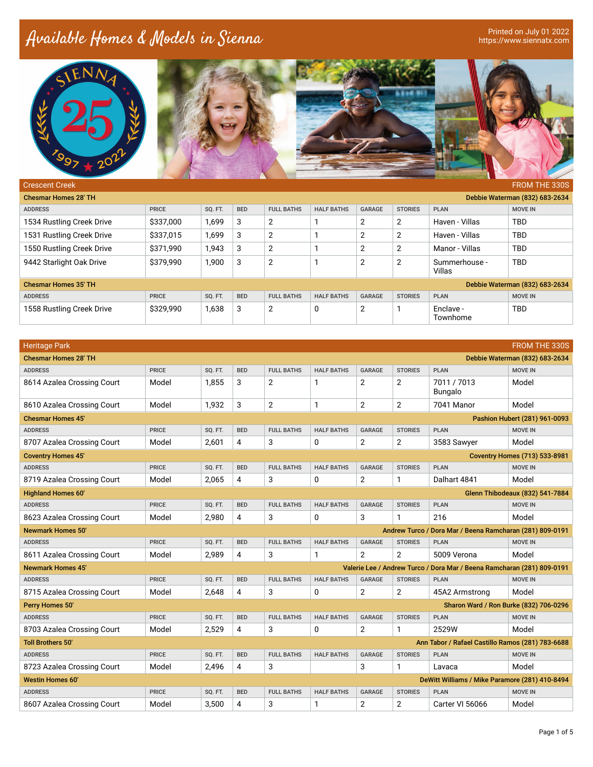## Available Homes & Models in Sienna

Printed on July 01 2022<br>https://www.siennatx.com





| <b>Crescent Creek</b>       |              |         |            |                   |                   |        |                |                         | <b>FROM THE 330S</b>           |
|-----------------------------|--------------|---------|------------|-------------------|-------------------|--------|----------------|-------------------------|--------------------------------|
| <b>Chesmar Homes 28' TH</b> |              |         |            |                   |                   |        |                |                         | Debbie Waterman (832) 683-2634 |
| <b>ADDRESS</b>              | <b>PRICE</b> | SQ. FT. | <b>BED</b> | <b>FULL BATHS</b> | <b>HALF BATHS</b> | GARAGE | <b>STORIES</b> | <b>PLAN</b>             | <b>MOVE IN</b>                 |
| 1534 Rustling Creek Drive   | \$337,000    | 1,699   | 3          | 2                 |                   | 2      | 2              | Haven - Villas          | <b>TBD</b>                     |
| 1531 Rustling Creek Drive   | \$337,015    | 1,699   | 3          | $\overline{2}$    |                   | 2      | 2              | Haven - Villas          | <b>TBD</b>                     |
| 1550 Rustling Creek Drive   | \$371,990    | 1.943   | 3          | $\overline{2}$    |                   | 2      | 2              | Manor - Villas          | <b>TBD</b>                     |
| 9442 Starlight Oak Drive    | \$379,990    | 1,900   | 3          | 2                 |                   | 2      | 2              | Summerhouse -<br>Villas | <b>TBD</b>                     |
| <b>Chesmar Homes 35' TH</b> |              |         |            |                   |                   |        |                |                         | Debbie Waterman (832) 683-2634 |
| <b>ADDRESS</b>              | <b>PRICE</b> | SQ. FT. | <b>BED</b> | <b>FULL BATHS</b> | <b>HALF BATHS</b> | GARAGE | <b>STORIES</b> | <b>PLAN</b>             | <b>MOVE IN</b>                 |
| 1558 Rustling Creek Drive   | \$329,990    | 1,638   | 3          | 2                 | 0                 | 2      |                | Enclave -<br>Townhome   | <b>TBD</b>                     |

| <b>Heritage Park</b>        |              |                |            |                   |                   |                |                |                                                                        | <b>FROM THE 330S</b>                   |
|-----------------------------|--------------|----------------|------------|-------------------|-------------------|----------------|----------------|------------------------------------------------------------------------|----------------------------------------|
| <b>Chesmar Homes 28' TH</b> |              |                |            |                   |                   |                |                |                                                                        | Debbie Waterman (832) 683-2634         |
| <b>ADDRESS</b>              | <b>PRICE</b> | <b>SO. FT.</b> | <b>BED</b> | <b>FULL BATHS</b> | <b>HALF BATHS</b> | <b>GARAGE</b>  | <b>STORIES</b> | <b>PLAN</b>                                                            | <b>MOVE IN</b>                         |
| 8614 Azalea Crossing Court  | Model        | 1.855          | 3          | $\overline{2}$    | 1                 | 2              | $\overline{2}$ | 7011 / 7013<br>Bungalo                                                 | Model                                  |
| 8610 Azalea Crossing Court  | Model        | 1,932          | 3          | $\overline{2}$    | 1                 | $\overline{2}$ | 2              | 7041 Manor                                                             | Model                                  |
| <b>Chesmar Homes 45'</b>    |              |                |            |                   |                   |                |                |                                                                        | Pashion Hubert (281) 961-0093          |
| <b>ADDRESS</b>              | <b>PRICE</b> | SQ. FT.        | <b>BED</b> | <b>FULL BATHS</b> | <b>HALF BATHS</b> | GARAGE         | <b>STORIES</b> | <b>PLAN</b>                                                            | <b>MOVE IN</b>                         |
| 8707 Azalea Crossing Court  | Model        | 2.601          | 4          | 3                 | 0                 | 2              | $\overline{2}$ | 3583 Sawyer                                                            | Model                                  |
| <b>Coventry Homes 45'</b>   |              |                |            |                   |                   |                |                |                                                                        | <b>Coventry Homes (713) 533-8981</b>   |
| <b>ADDRESS</b>              | <b>PRICE</b> | SQ. FT.        | <b>BED</b> | <b>FULL BATHS</b> | <b>HALF BATHS</b> | <b>GARAGE</b>  | <b>STORIES</b> | <b>PLAN</b>                                                            | <b>MOVE IN</b>                         |
| 8719 Azalea Crossing Court  | Model        | 2,065          | 4          | 3                 | 0                 | 2              | 1              | Dalhart 4841                                                           | Model                                  |
| <b>Highland Homes 60'</b>   |              |                |            |                   |                   |                |                |                                                                        | <b>Glenn Thibodeaux (832) 541-7884</b> |
| <b>ADDRESS</b>              | <b>PRICE</b> | SQ. FT.        | <b>BED</b> | <b>FULL BATHS</b> | <b>HALF BATHS</b> | <b>GARAGE</b>  | <b>STORIES</b> | <b>PLAN</b>                                                            | <b>MOVE IN</b>                         |
| 8623 Azalea Crossing Court  | Model        | 2,980          | 4          | 3                 | 0                 | 3              | $\mathbf{1}$   | 216                                                                    | Model                                  |
| <b>Newmark Homes 50'</b>    |              |                |            |                   |                   |                |                | Andrew Turco / Dora Mar / Beena Ramcharan (281) 809-0191               |                                        |
|                             |              |                |            |                   |                   |                |                |                                                                        |                                        |
| <b>ADDRESS</b>              | <b>PRICE</b> | SQ. FT.        | <b>BED</b> | <b>FULL BATHS</b> | <b>HALF BATHS</b> | <b>GARAGE</b>  | <b>STORIES</b> | <b>PLAN</b>                                                            | <b>MOVE IN</b>                         |
| 8611 Azalea Crossing Court  | Model        | 2,989          | 4          | 3                 | 1                 | 2              | $\overline{2}$ | 5009 Verona                                                            | Model                                  |
| <b>Newmark Homes 45'</b>    |              |                |            |                   |                   |                |                | Valerie Lee / Andrew Turco / Dora Mar / Beena Ramcharan (281) 809-0191 |                                        |
| <b>ADDRESS</b>              | <b>PRICE</b> | SQ. FT.        | <b>BED</b> | <b>FULL BATHS</b> | <b>HALF BATHS</b> | <b>GARAGE</b>  | <b>STORIES</b> | <b>PLAN</b>                                                            | <b>MOVE IN</b>                         |
| 8715 Azalea Crossing Court  | Model        | 2.648          | 4          | 3                 | 0                 | 2              | $\mathbf{2}$   | 45A2 Armstrong                                                         | Model                                  |
| Perry Homes 50'             |              |                |            |                   |                   |                |                | Sharon Ward / Ron Burke (832) 706-0296                                 |                                        |
| <b>ADDRESS</b>              | <b>PRICE</b> | SQ. FT.        | <b>BED</b> | <b>FULL BATHS</b> | <b>HALF BATHS</b> | <b>GARAGE</b>  | <b>STORIES</b> | <b>PLAN</b>                                                            | <b>MOVE IN</b>                         |
| 8703 Azalea Crossing Court  | Model        | 2.529          | 4          | 3                 | 0                 | $\overline{2}$ | $\mathbf{1}$   | 2529W                                                                  | Model                                  |
| <b>Toll Brothers 50'</b>    |              |                |            |                   |                   |                |                | Ann Tabor / Rafael Castillo Ramos (281) 783-6688                       |                                        |
| <b>ADDRESS</b>              | <b>PRICE</b> | <b>SO. FT.</b> | <b>BED</b> | <b>FULL BATHS</b> | <b>HALF BATHS</b> | <b>GARAGE</b>  | <b>STORIES</b> | <b>PLAN</b>                                                            | <b>MOVE IN</b>                         |
| 8723 Azalea Crossing Court  | Model        | 2.496          | 4          | 3                 |                   | 3              | $\mathbf{1}$   | Lavaca                                                                 | Model                                  |
| <b>Westin Homes 60'</b>     |              |                |            |                   |                   |                |                | DeWitt Williams / Mike Paramore (281) 410-8494                         |                                        |
| <b>ADDRESS</b>              | <b>PRICE</b> | SQ. FT.        | <b>BED</b> | <b>FULL BATHS</b> | <b>HALF BATHS</b> | <b>GARAGE</b>  | <b>STORIES</b> | <b>PLAN</b>                                                            | <b>MOVE IN</b>                         |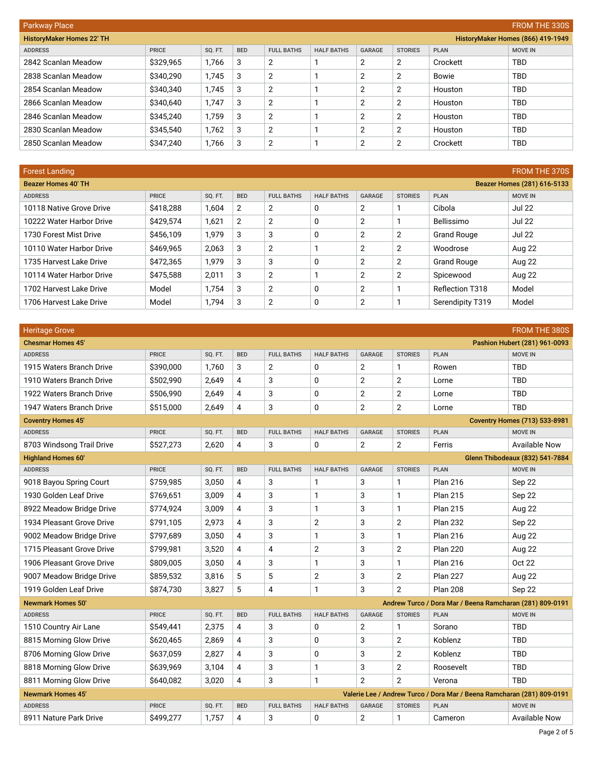| <b>FROM THE 330S</b><br><b>Parkway Place</b> |              |         |            |                   |                   |               |                |              |                                   |  |
|----------------------------------------------|--------------|---------|------------|-------------------|-------------------|---------------|----------------|--------------|-----------------------------------|--|
| <b>HistoryMaker Homes 22' TH</b>             |              |         |            |                   |                   |               |                |              | HistoryMaker Homes (866) 419-1949 |  |
| <b>ADDRESS</b>                               | <b>PRICE</b> | SQ. FT. | <b>BED</b> | <b>FULL BATHS</b> | <b>HALF BATHS</b> | <b>GARAGE</b> | <b>STORIES</b> | <b>PLAN</b>  | <b>MOVE IN</b>                    |  |
| 2842 Scanlan Meadow                          | \$329,965    | 1,766   | 3          | 2                 |                   | 2             | 2              | Crockett     | <b>TBD</b>                        |  |
| 2838 Scanlan Meadow                          | \$340,290    | 1,745   | 3          | 2                 |                   | 2             | $\overline{2}$ | <b>Bowie</b> | <b>TBD</b>                        |  |
| 2854 Scanlan Meadow                          | \$340,340    | 1,745   | 3          | 2                 |                   | 2             | $\overline{2}$ | Houston      | <b>TBD</b>                        |  |
| 2866 Scanlan Meadow                          | \$340,640    | 1,747   | 3          | 2                 |                   | 2             | $\overline{2}$ | Houston      | <b>TBD</b>                        |  |
| 2846 Scanlan Meadow                          | \$345,240    | 1,759   | 3          | 2                 |                   | 2             | $\overline{2}$ | Houston      | <b>TBD</b>                        |  |
| 2830 Scanlan Meadow                          | \$345,540    | 1,762   | 3          | 2                 |                   | 2             | $\overline{2}$ | Houston      | <b>TBD</b>                        |  |
| 2850 Scanlan Meadow                          | \$347,240    | 1,766   | 3          | 2                 |                   | 2             | $\overline{2}$ | Crockett     | <b>TBD</b>                        |  |

| <b>Forest Landing</b>    |              |         |            |                   |                   |               |                |                    | <b>FROM THE 370S</b>        |
|--------------------------|--------------|---------|------------|-------------------|-------------------|---------------|----------------|--------------------|-----------------------------|
| Beazer Homes 40' TH      |              |         |            |                   |                   |               |                |                    | Beazer Homes (281) 616-5133 |
| <b>ADDRESS</b>           | <b>PRICE</b> | SQ. FT. | <b>BED</b> | <b>FULL BATHS</b> | <b>HALF BATHS</b> | <b>GARAGE</b> | <b>STORIES</b> | <b>PLAN</b>        | <b>MOVE IN</b>              |
| 10118 Native Grove Drive | \$418,288    | 1,604   | 2          | 2                 | 0                 | 2             |                | Cibola             | <b>Jul 22</b>               |
| 10222 Water Harbor Drive | \$429,574    | 1,621   | 2          | 2                 | 0                 | 2             |                | Bellissimo         | <b>Jul 22</b>               |
| 1730 Forest Mist Drive   | \$456,109    | 1.979   | 3          | 3                 | 0                 | 2             | 2              | <b>Grand Rouge</b> | <b>Jul 22</b>               |
| 10110 Water Harbor Drive | \$469.965    | 2,063   | 3          | 2                 |                   | 2             | 2              | Woodrose           | Aug 22                      |
| 1735 Harvest Lake Drive  | \$472.365    | 1.979   | 3          | 3                 | 0                 | 2             | 2              | <b>Grand Rouge</b> | Aug 22                      |
| 10114 Water Harbor Drive | \$475,588    | 2,011   | 3          | 2                 |                   | 2             | 2              | Spicewood          | Aug 22                      |
| 1702 Harvest Lake Drive  | Model        | 1.754   | 3          | 2                 | 0                 | 2             |                | Reflection T318    | Model                       |
| 1706 Harvest Lake Drive  | Model        | 1,794   | 3          | 2                 | 0                 | 2             |                | Serendipity T319   | Model                       |

| <b>Heritage Grove</b>     |              |         |                |                   |                   |                |                |                                                                        | FROM THE 380S                          |
|---------------------------|--------------|---------|----------------|-------------------|-------------------|----------------|----------------|------------------------------------------------------------------------|----------------------------------------|
| <b>Chesmar Homes 45'</b>  |              |         |                |                   |                   |                |                |                                                                        | Pashion Hubert (281) 961-0093          |
| <b>ADDRESS</b>            | <b>PRICE</b> | SQ. FT. | <b>BED</b>     | <b>FULL BATHS</b> | <b>HALF BATHS</b> | <b>GARAGE</b>  | <b>STORIES</b> | <b>PLAN</b>                                                            | <b>MOVE IN</b>                         |
| 1915 Waters Branch Drive  | \$390,000    | 1,760   | 3              | $\overline{2}$    | 0                 | $\overline{2}$ | 1              | Rowen                                                                  | <b>TBD</b>                             |
| 1910 Waters Branch Drive  | \$502,990    | 2,649   | $\overline{4}$ | 3                 | 0                 | $\overline{2}$ | $\overline{2}$ | Lorne                                                                  | <b>TBD</b>                             |
| 1922 Waters Branch Drive  | \$506.990    | 2.649   | 4              | 3                 | 0                 | $\overline{2}$ | 2              | Lorne                                                                  | <b>TBD</b>                             |
| 1947 Waters Branch Drive  | \$515,000    | 2,649   | $\overline{4}$ | 3                 | 0                 | 2              | $\mathbf{2}$   | Lorne                                                                  | <b>TBD</b>                             |
| <b>Coventry Homes 45'</b> |              |         |                |                   |                   |                |                |                                                                        | <b>Coventry Homes (713) 533-8981</b>   |
| <b>ADDRESS</b>            | <b>PRICE</b> | SQ. FT. | <b>BED</b>     | <b>FULL BATHS</b> | <b>HALF BATHS</b> | <b>GARAGE</b>  | <b>STORIES</b> | <b>PLAN</b>                                                            | <b>MOVE IN</b>                         |
| 8703 Windsong Trail Drive | \$527,273    | 2,620   | $\overline{4}$ | 3                 | 0                 | $\overline{2}$ | 2              | Ferris                                                                 | Available Now                          |
| <b>Highland Homes 60'</b> |              |         |                |                   |                   |                |                |                                                                        | <b>Glenn Thibodeaux (832) 541-7884</b> |
| <b>ADDRESS</b>            | <b>PRICE</b> | SQ. FT. | <b>BED</b>     | <b>FULL BATHS</b> | <b>HALF BATHS</b> | <b>GARAGE</b>  | <b>STORIES</b> | <b>PLAN</b>                                                            | <b>MOVE IN</b>                         |
| 9018 Bayou Spring Court   | \$759,985    | 3,050   | $\overline{4}$ | 3                 | 1                 | 3              | 1              | <b>Plan 216</b>                                                        | Sep 22                                 |
| 1930 Golden Leaf Drive    | \$769,651    | 3,009   | $\overline{4}$ | 3                 | $\mathbf{1}$      | 3              | $\mathbf{1}$   | <b>Plan 215</b>                                                        | Sep 22                                 |
| 8922 Meadow Bridge Drive  | \$774,924    | 3,009   | $\overline{4}$ | 3                 | $\mathbf{1}$      | 3              | 1              | <b>Plan 215</b>                                                        | Aug 22                                 |
| 1934 Pleasant Grove Drive | \$791,105    | 2,973   | $\overline{4}$ | 3                 | $\overline{2}$    | 3              | $\overline{2}$ | <b>Plan 232</b>                                                        | Sep 22                                 |
| 9002 Meadow Bridge Drive  | \$797,689    | 3,050   | 4              | 3                 | 1                 | 3              | 1              | <b>Plan 216</b>                                                        | <b>Aug 22</b>                          |
| 1715 Pleasant Grove Drive | \$799,981    | 3,520   | $\overline{4}$ | 4                 | $\mathbf 2$       | 3              | 2              | <b>Plan 220</b>                                                        | Aug 22                                 |
| 1906 Pleasant Grove Drive | \$809,005    | 3,050   | $\overline{4}$ | 3                 | 1                 | 3              | 1              | <b>Plan 216</b>                                                        | <b>Oct 22</b>                          |
| 9007 Meadow Bridge Drive  | \$859,532    | 3,816   | 5              | 5                 | $\overline{2}$    | 3              | 2              | <b>Plan 227</b>                                                        | <b>Aug 22</b>                          |
| 1919 Golden Leaf Drive    | \$874,730    | 3,827   | 5              | 4                 | 1                 | 3              | $\overline{2}$ | <b>Plan 208</b>                                                        | Sep 22                                 |
| <b>Newmark Homes 50'</b>  |              |         |                |                   |                   |                |                | Andrew Turco / Dora Mar / Beena Ramcharan (281) 809-0191               |                                        |
| <b>ADDRESS</b>            | <b>PRICE</b> | SQ. FT. | <b>BED</b>     | <b>FULL BATHS</b> | <b>HALF BATHS</b> | GARAGE         | <b>STORIES</b> | <b>PLAN</b>                                                            | <b>MOVE IN</b>                         |
| 1510 Country Air Lane     | \$549,441    | 2,375   | 4              | 3                 | 0                 | 2              | 1              | Sorano                                                                 | <b>TBD</b>                             |
| 8815 Morning Glow Drive   | \$620,465    | 2,869   | $\overline{4}$ | 3                 | 0                 | 3              | $\overline{2}$ | Koblenz                                                                | <b>TBD</b>                             |
| 8706 Morning Glow Drive   | \$637,059    | 2,827   | 4              | 3                 | 0                 | 3              | 2              | Koblenz                                                                | <b>TBD</b>                             |
| 8818 Morning Glow Drive   | \$639,969    | 3,104   | $\overline{4}$ | 3                 | 1                 | 3              | 2              | Roosevelt                                                              | <b>TBD</b>                             |
| 8811 Morning Glow Drive   | \$640,082    | 3,020   | $\overline{4}$ | 3                 | $\mathbf{1}$      | $\overline{2}$ | $\overline{2}$ | Verona                                                                 | <b>TBD</b>                             |
| <b>Newmark Homes 45'</b>  |              |         |                |                   |                   |                |                | Valerie Lee / Andrew Turco / Dora Mar / Beena Ramcharan (281) 809-0191 |                                        |
| <b>ADDRESS</b>            | <b>PRICE</b> | SQ. FT. | <b>BED</b>     | <b>FULL BATHS</b> | <b>HALF BATHS</b> | <b>GARAGE</b>  | <b>STORIES</b> | <b>PLAN</b>                                                            | <b>MOVE IN</b>                         |
| 8911 Nature Park Drive    | \$499,277    | 1,757   | 4              | 3                 | 0                 | 2              | 1              | Cameron                                                                | <b>Available Now</b>                   |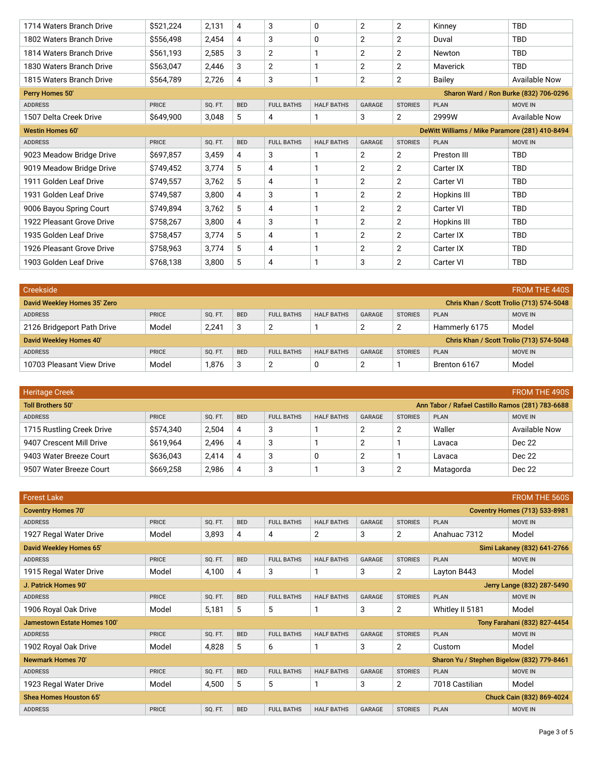| 1714 Waters Branch Drive  | \$521,224    | 2,131   | 4          | 3                 | 0                 | 2              | $\overline{2}$ | Kinney                                         | <b>TBD</b>           |
|---------------------------|--------------|---------|------------|-------------------|-------------------|----------------|----------------|------------------------------------------------|----------------------|
| 1802 Waters Branch Drive  | \$556,498    | 2,454   | 4          | 3                 | 0                 | $\overline{2}$ | 2              | Duval                                          | <b>TBD</b>           |
| 1814 Waters Branch Drive  | \$561,193    | 2,585   | 3          | $\overline{2}$    |                   | $\overline{2}$ | $\overline{2}$ | Newton                                         | <b>TBD</b>           |
| 1830 Waters Branch Drive  | \$563,047    | 2,446   | 3          | 2                 |                   | $\overline{2}$ | $\overline{2}$ | Maverick                                       | <b>TBD</b>           |
| 1815 Waters Branch Drive  | \$564,789    | 2,726   | 4          | 3                 |                   | $\overline{2}$ | $\overline{2}$ | Bailey                                         | <b>Available Now</b> |
| Perry Homes 50'           |              |         |            |                   |                   |                |                | Sharon Ward / Ron Burke (832) 706-0296         |                      |
| <b>ADDRESS</b>            | <b>PRICE</b> | SQ. FT. | <b>BED</b> | <b>FULL BATHS</b> | <b>HALF BATHS</b> | <b>GARAGE</b>  | <b>STORIES</b> | <b>PLAN</b>                                    | <b>MOVE IN</b>       |
| 1507 Delta Creek Drive    | \$649,900    | 3,048   | 5          | 4                 |                   | 3              | 2              | 2999W                                          | <b>Available Now</b> |
| <b>Westin Homes 60'</b>   |              |         |            |                   |                   |                |                | DeWitt Williams / Mike Paramore (281) 410-8494 |                      |
| <b>ADDRESS</b>            | <b>PRICE</b> | SQ. FT. | <b>BED</b> | <b>FULL BATHS</b> | <b>HALF BATHS</b> | <b>GARAGE</b>  | <b>STORIES</b> | <b>PLAN</b>                                    | <b>MOVE IN</b>       |
| 9023 Meadow Bridge Drive  | \$697,857    | 3,459   | 4          | 3                 |                   | $\overline{2}$ | 2              | Preston III                                    | <b>TBD</b>           |
| 9019 Meadow Bridge Drive  | \$749,452    | 3,774   | 5          | 4                 |                   | $\overline{2}$ | $\overline{2}$ | Carter IX                                      | <b>TBD</b>           |
| 1911 Golden Leaf Drive    | \$749,557    | 3,762   | 5          | 4                 |                   | $\overline{2}$ | 2              | Carter VI                                      | <b>TBD</b>           |
| 1931 Golden Leaf Drive    | \$749,587    | 3,800   | 4          | 3                 |                   | $\overline{2}$ | 2              | Hopkins III                                    | <b>TBD</b>           |
| 9006 Bayou Spring Court   | \$749,894    | 3,762   | 5          | 4                 |                   | $\overline{2}$ | 2              | Carter VI                                      | <b>TBD</b>           |
| 1922 Pleasant Grove Drive | \$758,267    | 3,800   | 4          | 3                 |                   | $\overline{2}$ | 2              | Hopkins III                                    | <b>TBD</b>           |
| 1935 Golden Leaf Drive    | \$758,457    | 3,774   | 5          | 4                 |                   | $\overline{2}$ | 2              | Carter IX                                      | <b>TBD</b>           |
| 1926 Pleasant Grove Drive | \$758,963    | 3,774   | 5          | 4                 |                   | 2              | 2              | Carter IX                                      | <b>TBD</b>           |
| 1903 Golden Leaf Drive    | \$768,138    | 3,800   | 5          | 4                 |                   | 3              | 2              | Carter VI                                      | <b>TBD</b>           |

| Creekside                                                                |              |                |            |                   |                   |        |                |                                          | <b>FROM THE 440S</b> |  |
|--------------------------------------------------------------------------|--------------|----------------|------------|-------------------|-------------------|--------|----------------|------------------------------------------|----------------------|--|
| David Weekley Homes 35' Zero<br>Chris Khan / Scott Trolio (713) 574-5048 |              |                |            |                   |                   |        |                |                                          |                      |  |
| <b>ADDRESS</b>                                                           | <b>PRICE</b> | SO. FT.        | <b>BED</b> | <b>FULL BATHS</b> | <b>HALF BATHS</b> | GARAGE | <b>STORIES</b> | <b>PLAN</b>                              | <b>MOVE IN</b>       |  |
| 2126 Bridgeport Path Drive                                               | Model        | 2,241          | 3          | $\overline{2}$    |                   | 2      | 2              | Hammerly 6175                            | Model                |  |
| David Weekley Homes 40'                                                  |              |                |            |                   |                   |        |                | Chris Khan / Scott Trolio (713) 574-5048 |                      |  |
| <b>ADDRESS</b>                                                           | <b>PRICE</b> | <b>SO. FT.</b> | <b>BED</b> | <b>FULL BATHS</b> | <b>HALF BATHS</b> | GARAGE | <b>STORIES</b> | <b>PLAN</b>                              | <b>MOVE IN</b>       |  |
| 10703 Pleasant View Drive                                                | Model        | 1,876          | 3          | $\overline{2}$    | 0                 | 2      |                | Brenton 6167                             | Model                |  |

| <b>Heritage Creek</b><br>FROM THE 490S                                       |              |         |            |                   |                   |                |                |             |                      |  |  |
|------------------------------------------------------------------------------|--------------|---------|------------|-------------------|-------------------|----------------|----------------|-------------|----------------------|--|--|
| <b>Toll Brothers 50'</b><br>Ann Tabor / Rafael Castillo Ramos (281) 783-6688 |              |         |            |                   |                   |                |                |             |                      |  |  |
| <b>ADDRESS</b>                                                               | <b>PRICE</b> | SO. FT. | <b>BED</b> | <b>FULL BATHS</b> | <b>HALF BATHS</b> | GARAGE         | <b>STORIES</b> | <b>PLAN</b> | <b>MOVE IN</b>       |  |  |
| 1715 Rustling Creek Drive                                                    | \$574,340    | 2,504   | 4          | 3                 |                   | $\overline{2}$ |                | Waller      | <b>Available Now</b> |  |  |
| 9407 Crescent Mill Drive                                                     | \$619.964    | 2,496   | 4          | 3                 |                   | 2              |                | Lavaca      | Dec 22               |  |  |
| 9403 Water Breeze Court                                                      | \$636,043    | 2,414   | 4          | 3                 | 0                 | 2              |                | Lavaca      | Dec 22               |  |  |
| 9507 Water Breeze Court                                                      | \$669,258    | 2,986   | 4          | 3                 |                   | 3              |                | Matagorda   | Dec 22               |  |  |

| <b>Forest Lake</b>          |              |                |            |                   |                   |               |                |                                            | <b>FROM THE 560S</b>                 |
|-----------------------------|--------------|----------------|------------|-------------------|-------------------|---------------|----------------|--------------------------------------------|--------------------------------------|
| <b>Coventry Homes 70'</b>   |              |                |            |                   |                   |               |                |                                            | <b>Coventry Homes (713) 533-8981</b> |
| <b>ADDRESS</b>              | <b>PRICE</b> | SQ. FT.        | <b>BED</b> | <b>FULL BATHS</b> | <b>HALF BATHS</b> | <b>GARAGE</b> | <b>STORIES</b> | <b>PLAN</b>                                | <b>MOVE IN</b>                       |
| 1927 Regal Water Drive      | Model        | 3,893          | 4          | 4                 | 2                 | 3             | $\overline{2}$ | Anahuac 7312                               | Model                                |
| David Weekley Homes 65'     |              |                |            |                   |                   |               |                |                                            | Simi Lakaney (832) 641-2766          |
| <b>ADDRESS</b>              | <b>PRICE</b> | <b>SO. FT.</b> | <b>BED</b> | <b>FULL BATHS</b> | <b>HALF BATHS</b> | <b>GARAGE</b> | <b>STORIES</b> | <b>PLAN</b>                                | <b>MOVE IN</b>                       |
| 1915 Regal Water Drive      | Model        | 4,100          | 4          | 3                 |                   | 3             | $\overline{2}$ | Layton B443                                | Model                                |
| J. Patrick Homes 90'        |              |                |            |                   |                   |               |                |                                            | Jerry Lange (832) 287-5490           |
| <b>ADDRESS</b>              | <b>PRICE</b> | SQ. FT.        | <b>BED</b> | <b>FULL BATHS</b> | <b>HALF BATHS</b> | <b>GARAGE</b> | <b>STORIES</b> | <b>PLAN</b>                                | <b>MOVE IN</b>                       |
| 1906 Royal Oak Drive        | Model        | 5,181          | 5          | 5                 |                   | 3             | $\overline{2}$ | Whitley II 5181                            | Model                                |
| Jamestown Estate Homes 100' |              |                |            |                   |                   |               |                |                                            | Tony Farahani (832) 827-4454         |
| <b>ADDRESS</b>              | <b>PRICE</b> | SQ. FT.        | <b>BED</b> | <b>FULL BATHS</b> | <b>HALF BATHS</b> | <b>GARAGE</b> | <b>STORIES</b> | <b>PLAN</b>                                | <b>MOVE IN</b>                       |
| 1902 Royal Oak Drive        | Model        | 4,828          | 5          | 6                 |                   | 3             | $\overline{2}$ | Custom                                     | Model                                |
| <b>Newmark Homes 70'</b>    |              |                |            |                   |                   |               |                | Sharon Yu / Stephen Bigelow (832) 779-8461 |                                      |
| <b>ADDRESS</b>              | <b>PRICE</b> | SQ. FT.        | <b>BED</b> | <b>FULL BATHS</b> | <b>HALF BATHS</b> | <b>GARAGE</b> | <b>STORIES</b> | <b>PLAN</b>                                | <b>MOVE IN</b>                       |
| 1923 Regal Water Drive      | Model        | 4,500          | 5          | 5                 |                   | 3             | $\overline{2}$ | 7018 Castilian                             | Model                                |
| Shea Homes Houston 65'      |              |                |            |                   |                   |               |                |                                            | Chuck Cain (832) 869-4024            |
| <b>ADDRESS</b>              | <b>PRICE</b> | SQ. FT.        | <b>BED</b> | <b>FULL BATHS</b> | <b>HALF BATHS</b> | <b>GARAGE</b> | <b>STORIES</b> | <b>PLAN</b>                                | <b>MOVE IN</b>                       |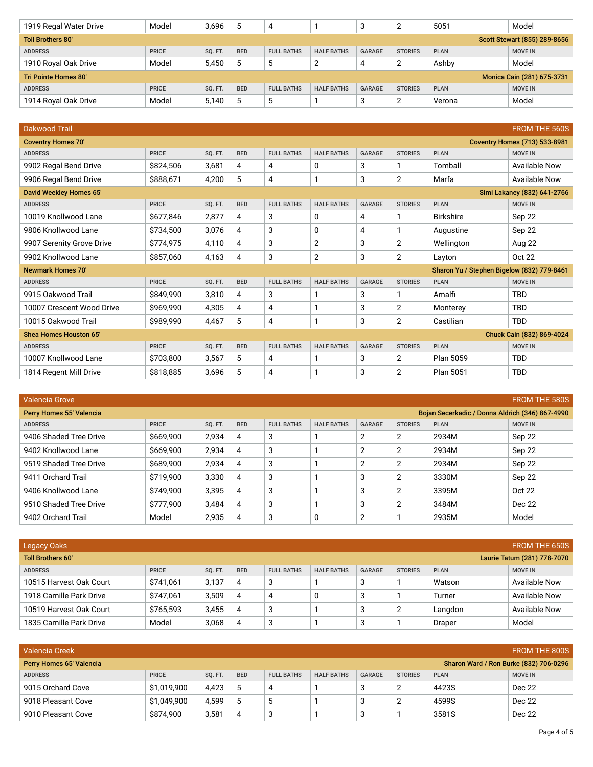| 1919 Regal Water Drive   | Model        | 3,696          | 5          | 4                 |                   | -3            |                | 5051        | Model                        |
|--------------------------|--------------|----------------|------------|-------------------|-------------------|---------------|----------------|-------------|------------------------------|
| <b>Toll Brothers 80'</b> |              |                |            |                   |                   |               |                |             | Scott Stewart (855) 289-8656 |
| <b>ADDRESS</b>           | <b>PRICE</b> | <b>SO. FT.</b> | <b>BED</b> | <b>FULL BATHS</b> | <b>HALF BATHS</b> | <b>GARAGE</b> | <b>STORIES</b> | <b>PLAN</b> | <b>MOVE IN</b>               |
| 1910 Royal Oak Drive     | Model        | 5,450          | 5          | 5                 | ◠                 | 4             |                | Ashby       | Model                        |
| Tri Pointe Homes 80'     |              |                |            |                   |                   |               |                |             | Monica Cain (281) 675-3731   |
| <b>ADDRESS</b>           | <b>PRICE</b> | SQ. FT.        | <b>BED</b> | <b>FULL BATHS</b> | <b>HALF BATHS</b> | <b>GARAGE</b> | <b>STORIES</b> | <b>PLAN</b> | <b>MOVE IN</b>               |
| 1914 Royal Oak Drive     | Model        | 5,140          | 5          | 5                 |                   | đ             |                | Verona      | Model                        |

| <b>Oakwood Trail</b>           |              |         |            |                   |                   |               |                |                                            | <b>FROM THE 560S</b>                 |
|--------------------------------|--------------|---------|------------|-------------------|-------------------|---------------|----------------|--------------------------------------------|--------------------------------------|
| <b>Coventry Homes 70'</b>      |              |         |            |                   |                   |               |                |                                            | <b>Coventry Homes (713) 533-8981</b> |
| <b>ADDRESS</b>                 | <b>PRICE</b> | SQ. FT. | <b>BED</b> | <b>FULL BATHS</b> | <b>HALF BATHS</b> | <b>GARAGE</b> | <b>STORIES</b> | <b>PLAN</b>                                | <b>MOVE IN</b>                       |
| 9902 Regal Bend Drive          | \$824,506    | 3,681   | 4          | 4                 | 0                 | 3             | 1              | Tomball                                    | <b>Available Now</b>                 |
| 9906 Regal Bend Drive          | \$888,671    | 4,200   | 5          | 4                 | 1                 | 3             | $\overline{2}$ | Marfa                                      | <b>Available Now</b>                 |
| <b>David Weekley Homes 65'</b> |              |         |            |                   |                   |               |                |                                            | Simi Lakaney (832) 641-2766          |
| <b>ADDRESS</b>                 | <b>PRICE</b> | SQ. FT. | <b>BED</b> | <b>FULL BATHS</b> | <b>HALF BATHS</b> | <b>GARAGE</b> | <b>STORIES</b> | <b>PLAN</b>                                | <b>MOVE IN</b>                       |
| 10019 Knollwood Lane           | \$677,846    | 2,877   | 4          | 3                 | 0                 | 4             | 1              | <b>Birkshire</b>                           | Sep 22                               |
| 9806 Knollwood Lane            | \$734,500    | 3,076   | 4          | 3                 | 0                 | 4             | 1              | Augustine                                  | Sep 22                               |
| 9907 Serenity Grove Drive      | \$774,975    | 4,110   | 4          | 3                 | $\overline{2}$    | 3             | 2              | Wellington                                 | Aug 22                               |
| 9902 Knollwood Lane            | \$857,060    | 4,163   | 4          | 3                 | 2                 | 3             | $\overline{2}$ | Layton                                     | <b>Oct 22</b>                        |
| <b>Newmark Homes 70'</b>       |              |         |            |                   |                   |               |                | Sharon Yu / Stephen Bigelow (832) 779-8461 |                                      |
| <b>ADDRESS</b>                 | <b>PRICE</b> | SQ. FT. | <b>BED</b> | <b>FULL BATHS</b> | <b>HALF BATHS</b> | <b>GARAGE</b> | <b>STORIES</b> | <b>PLAN</b>                                | <b>MOVE IN</b>                       |
| 9915 Oakwood Trail             | \$849,990    | 3,810   | 4          | 3                 | 1                 | 3             | 1              | Amalfi                                     | <b>TBD</b>                           |
| 10007 Crescent Wood Drive      | \$969,990    | 4,305   | 4          | 4                 |                   | 3             | 2              | Monterey                                   | <b>TBD</b>                           |
| 10015 Oakwood Trail            | \$989.990    | 4,467   | 5          | 4                 | 1                 | 3             | $\overline{2}$ | Castilian                                  | <b>TBD</b>                           |
| Shea Homes Houston 65'         |              |         |            |                   |                   |               |                |                                            | Chuck Cain (832) 869-4024            |
| <b>ADDRESS</b>                 | <b>PRICE</b> | SQ. FT. | <b>BED</b> | <b>FULL BATHS</b> | <b>HALF BATHS</b> | <b>GARAGE</b> | <b>STORIES</b> | <b>PLAN</b>                                | <b>MOVE IN</b>                       |
| 10007 Knollwood Lane           | \$703,800    | 3,567   | 5          | 4                 | 1                 | 3             | $\overline{2}$ | Plan 5059                                  | <b>TBD</b>                           |
| 1814 Regent Mill Drive         | \$818,885    | 3,696   | 5          | 4                 |                   | 3             | 2              | Plan 5051                                  | <b>TBD</b>                           |

| <b>FROM THE 580S</b><br>Valencia Grove                                      |              |         |            |                   |                   |        |                |             |                |  |  |
|-----------------------------------------------------------------------------|--------------|---------|------------|-------------------|-------------------|--------|----------------|-------------|----------------|--|--|
| Perry Homes 55' Valencia<br>Bojan Secerkadic / Donna Aldrich (346) 867-4990 |              |         |            |                   |                   |        |                |             |                |  |  |
| <b>ADDRESS</b>                                                              | <b>PRICE</b> | SO. FT. | <b>BED</b> | <b>FULL BATHS</b> | <b>HALF BATHS</b> | GARAGE | <b>STORIES</b> | <b>PLAN</b> | <b>MOVE IN</b> |  |  |
| 9406 Shaded Tree Drive                                                      | \$669,900    | 2,934   | 4          | 3                 |                   | 2      | 2              | 2934M       | Sep 22         |  |  |
| 9402 Knollwood Lane                                                         | \$669,900    | 2,934   | 4          | 3                 |                   | 2      | 2              | 2934M       | Sep 22         |  |  |
| 9519 Shaded Tree Drive                                                      | \$689,900    | 2,934   | 4          | 3                 |                   | 2      | 2              | 2934M       | Sep 22         |  |  |
| 9411 Orchard Trail                                                          | \$719,900    | 3,330   | 4          | 3                 |                   | 3      | 2              | 3330M       | Sep 22         |  |  |
| 9406 Knollwood Lane                                                         | \$749.900    | 3,395   | 4          | 3                 |                   | 3      | $\overline{2}$ | 3395M       | Oct 22         |  |  |
| 9510 Shaded Tree Drive                                                      | \$777,900    | 3,484   | 4          | 3                 |                   | 3      | $\overline{2}$ | 3484M       | Dec 22         |  |  |
| 9402 Orchard Trail                                                          | Model        | 2,935   | 4          | 3                 | 0                 | 2      |                | 2935M       | Model          |  |  |

| <b>FROM THE 650S</b><br><b>Legacy Oaks</b>              |              |                |            |                   |                   |        |                |             |                |  |
|---------------------------------------------------------|--------------|----------------|------------|-------------------|-------------------|--------|----------------|-------------|----------------|--|
| <b>Toll Brothers 60'</b><br>Laurie Tatum (281) 778-7070 |              |                |            |                   |                   |        |                |             |                |  |
| <b>ADDRESS</b>                                          | <b>PRICE</b> | <b>SO. FT.</b> | <b>BED</b> | <b>FULL BATHS</b> | <b>HALF BATHS</b> | GARAGE | <b>STORIES</b> | <b>PLAN</b> | <b>MOVE IN</b> |  |
| 10515 Harvest Oak Court                                 | \$741,061    | 3,137          | 4          | 3                 |                   | 3      |                | Watson      | Available Now  |  |
| 1918 Camille Park Drive                                 | \$747,061    | 3,509          | 4          | 4                 | 0                 | 3      |                | Turner      | Available Now  |  |
| 10519 Harvest Oak Court                                 | \$765.593    | 3,455          | 4          | 3                 |                   | 3      | 2              | Langdon     | Available Now  |  |
| 1835 Camille Park Drive                                 | Model        | 3,068          | 4          | 3                 |                   | 3      |                | Draper      | Model          |  |

| <b>Valencia Creek</b>                                                     |              |                |            |                   |                   |               |                |             |                |
|---------------------------------------------------------------------------|--------------|----------------|------------|-------------------|-------------------|---------------|----------------|-------------|----------------|
| Sharon Ward / Ron Burke (832) 706-0296<br><b>Perry Homes 65' Valencia</b> |              |                |            |                   |                   |               |                |             |                |
| <b>ADDRESS</b>                                                            | <b>PRICE</b> | <b>SO. FT.</b> | <b>BED</b> | <b>FULL BATHS</b> | <b>HALF BATHS</b> | <b>GARAGE</b> | <b>STORIES</b> | <b>PLAN</b> | <b>MOVE IN</b> |
| 9015 Orchard Cove                                                         | \$1,019,900  | 4,423          | 5          |                   |                   | 3             | ◠<br>∸         | 4423S       | Dec 22         |
| 9018 Pleasant Cove                                                        | \$1,049,900  | 4.599          | 5          | . 5               |                   | 3             | c<br>∸         | 4599S       | Dec 22         |
| 9010 Pleasant Cove                                                        | \$874.900    | 3,581          | 4          | ാ                 |                   | 3             |                | 3581S       | Dec 22         |